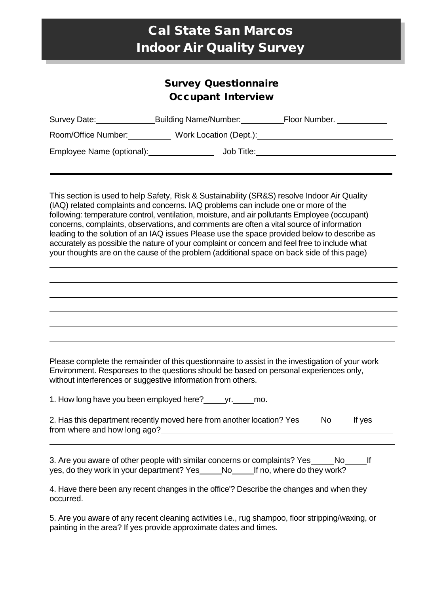# Cal State San Marcos Indoor Air Quality Survey

## Survey Questionnaire Occupant Interview

| Survey Date:              | <b>Building Name/Number:</b> | Floor Number. |
|---------------------------|------------------------------|---------------|
| Room/Office Number:       | Work Location (Dept.):       |               |
| Employee Name (optional): | Job Title:                   |               |
|                           |                              |               |

This section is used to help Safety, Risk & Sustainability (SR&S) resolve Indoor Air Quality (IAQ) related complaints and concerns. IAQ problems can include one or more of the following: temperature control, ventilation, moisture, and air pollutants Employee (occupant) concerns, complaints, observations, and comments are often a vital source of information leading to the solution of an IAQ issues Please use the space provided below to describe as accurately as possible the nature of your complaint or concern and feel free to include what your thoughts are on the cause of the problem (additional space on back side of this page)

Please complete the remainder of this questionnaire to assist in the investigation of your work Environment. Responses to the questions should be based on personal experiences only, without interferences or suggestive information from others.

1. How long have you been employed here? \_\_\_\_\_ yr. \_\_\_\_\_ mo.

|                              | 2. Has this department recently moved here from another location? Yes_ | No. | If yes |
|------------------------------|------------------------------------------------------------------------|-----|--------|
| from where and how long ago? |                                                                        |     |        |

3. Are you aware of other people with similar concerns or complaints? Yes \_\_\_\_\_\_ No \_\_\_\_\_\_ If yes, do they work in your department? Yes \_\_\_\_\_No\_\_\_\_\_\_If no, where do they work?

4. Have there been any recent changes in the office'? Describe the changes and when they occurred.

5. Are you aware of any recent cleaning activities i.e., rug shampoo, floor stripping/waxing, or painting in the area? If yes provide approximate dates and times.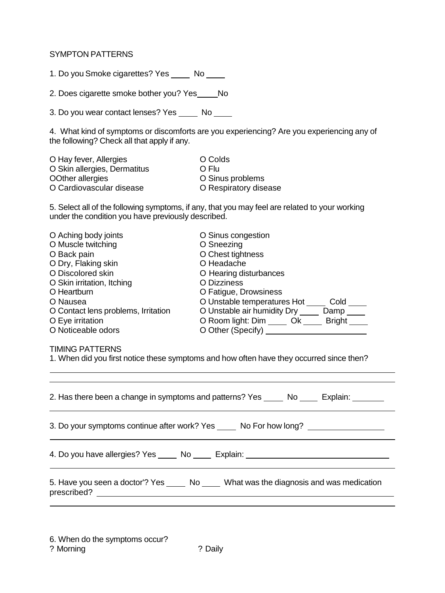#### SYMPTON PATTERNS

1. Do you Smoke cigarettes? Yes \_\_\_\_\_ No \_\_\_\_

2. Does cigarette smoke bother you? Yes \_\_\_\_\_ No

3. Do you wear contact lenses? Yes \_\_\_\_\_ No \_\_\_\_

4. What kind of symptoms or discomforts are you experiencing? Are you experiencing any of the following? Check all that apply if any.

| O Hay fever, Allergies       | O Colds               |
|------------------------------|-----------------------|
| O Skin allergies, Dermatitus | O Flu                 |
| OOther allergies             | O Sinus problems      |
| O Cardiovascular disease     | O Respiratory disease |
|                              |                       |

5. Select all of the following symptoms, if any, that you may feel are related to your working under the condition you have previously described.

| O Aching body joints                | O Sinus congestion                    |
|-------------------------------------|---------------------------------------|
| O Muscle twitching                  | O Sneezing                            |
| O Back pain                         | O Chest tightness                     |
| O Dry, Flaking skin                 | O Headache                            |
| O Discolored skin                   | O Hearing disturbances                |
| O Skin irritation, Itching          | <b>O</b> Dizziness                    |
| O Heartburn                         | O Fatigue, Drowsiness                 |
| O Nausea                            | O Unstable temperatures Hot<br>Cold   |
| O Contact lens problems, Irritation | O Unstable air humidity Dry<br>Damp   |
| O Eye irritation                    | O Room light: Dim Ok<br><b>Bright</b> |
| O Noticeable odors                  | O Other (Specify)                     |

#### TIMING PATTERNS

1. When did you first notice these symptoms and how often have they occurred since then?

| 2. Has there been a change in symptoms and patterns? Yes _______ No ______ Explain: _________ |  |  |  |  |
|-----------------------------------------------------------------------------------------------|--|--|--|--|
| 3. Do your symptoms continue after work? Yes ______ No For how long? ____________             |  |  |  |  |
| 4. Do you have allergies? Yes _____ No _____ Explain: __________________________              |  |  |  |  |
| 5. Have you seen a doctor'? Yes ______ No _____ What was the diagnosis and was medication     |  |  |  |  |

6. When do the symptoms occur? ? Morning ? Daily